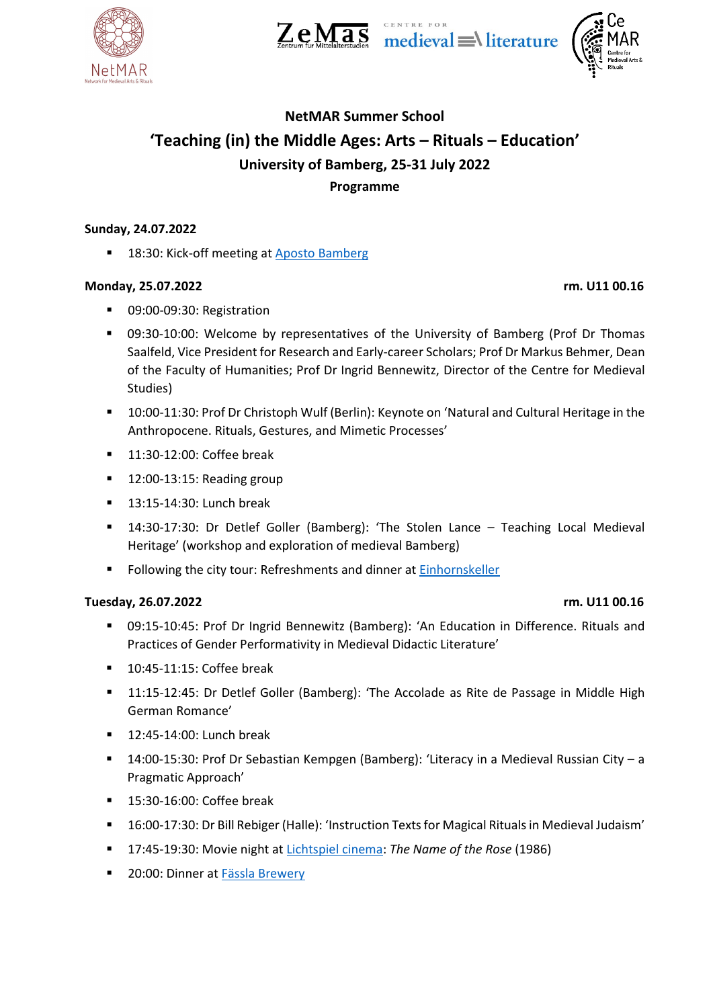

 $Z_{\text{entrum für Mittelaltersluden}} \overline{AS} \text{ medieval} \equiv \text{literature}$ 

# **NetMAR Summer School 'Teaching (in) the Middle Ages: Arts – Rituals – Education' University of Bamberg, 25-31 July 2022 Programme**

# **Sunday, 24.07.2022**

■ 18:30: Kick-off meeting at [Aposto Bamberg](https://g.page/aposto-bamberg?share)

## **Monday, 25.07.2022 rm. U11 00.16**

- 09:00-09:30: Registration
- 09:30-10:00: Welcome by representatives of the University of Bamberg (Prof Dr Thomas Saalfeld, Vice President for Research and Early-career Scholars; Prof Dr Markus Behmer, Dean of the Faculty of Humanities; Prof Dr Ingrid Bennewitz, Director of the Centre for Medieval Studies)
- 10:00-11:30: Prof Dr Christoph Wulf (Berlin): Keynote on 'Natural and Cultural Heritage in the Anthropocene. Rituals, Gestures, and Mimetic Processes'
- 11:30-12:00: Coffee break
- $\blacksquare$  12:00-13:15: Reading group
- **13:15-14:30: Lunch break**
- 14:30-17:30: Dr Detlef Goller (Bamberg): 'The Stolen Lance Teaching Local Medieval Heritage' (workshop and exploration of medieval Bamberg)
- Following the city tour: Refreshments and dinner at [Einhornskeller](https://goo.gl/maps/PDALKUAJ6V9FJYZ47)

# **Tuesday, 26.07.2022 rm. U11 00.16**

- 09:15-10:45: Prof Dr Ingrid Bennewitz (Bamberg): 'An Education in Difference. Rituals and Practices of Gender Performativity in Medieval Didactic Literature'
- 10:45-11:15: Coffee break
- **11:15-12:45: Dr Detlef Goller (Bamberg): 'The Accolade as Rite de Passage in Middle High** German Romance'
- 12:45-14:00: Lunch break
- 14:00-15:30: Prof Dr Sebastian Kempgen (Bamberg): 'Literacy in a Medieval Russian City a Pragmatic Approach'
- 15:30-16:00: Coffee break
- 16:00-17:30: Dr Bill Rebiger (Halle): 'Instruction Texts for Magical Rituals in Medieval Judaism'
- 17:45-19:30: Movie night at [Lichtspiel](https://goo.gl/maps/cE8wUK6KNJqtn3vw9) cinema: *The Name of the Rose* (1986)
- 20:00: Dinner at [Fässla Brewery](https://goo.gl/maps/E2VmWd4RC9UNTSuF8)